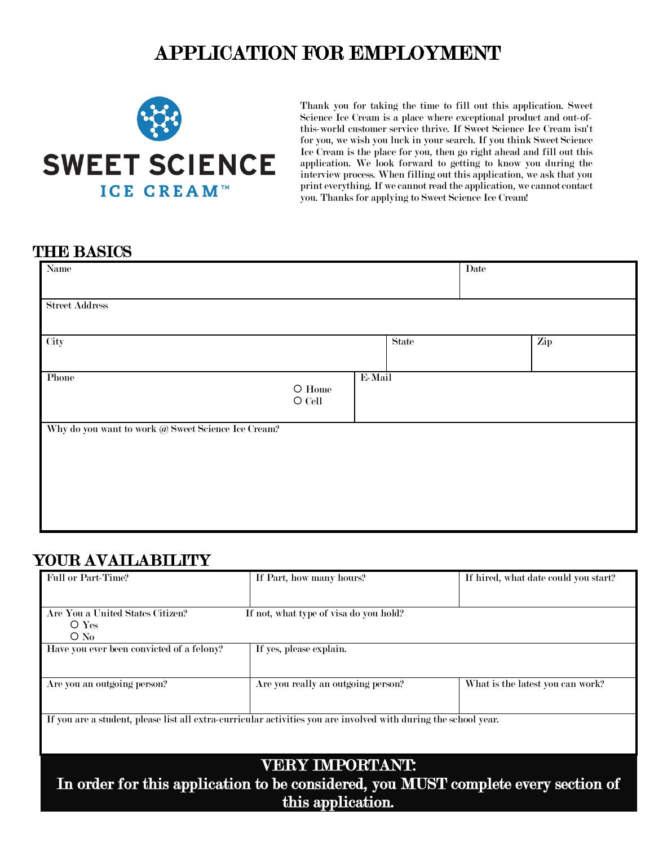## APPLICATION FOR EMPLOYMENT



Thank you for taking the time to fill out this application. Sweet Science Ice Cream is a place where exceptional product and out-ofthis-world customer service thrive. If Sweet Science Ice Cream isn't for you, we wish you luck in your search. If you think Sweet Science Ice Cream is the place for you, then go right ahead and fill out this application. We look forward to getting to know you during the interview process. When filling out this application, we ask that you print everything. If we cannot read the application, we cannot contact you. Thanks for applying to Sweet Science Ice Cream!

| Name                                               |                                    |        |              | Date |  |
|----------------------------------------------------|------------------------------------|--------|--------------|------|--|
| <b>Street Address</b>                              |                                    |        |              |      |  |
|                                                    |                                    |        |              |      |  |
| City                                               |                                    |        | <b>State</b> | Zip  |  |
| Phone                                              | $\bigcirc$ Home<br>$\bigcirc$ Cell | E-Mail |              |      |  |
| Why do you want to work @ Sweet Science Ice Cream? |                                    |        |              |      |  |
|                                                    |                                    |        |              |      |  |
|                                                    |                                    |        |              |      |  |
|                                                    |                                    |        |              |      |  |

## YOUR AVAILABILITY

| Full or Part-Time?                                                                                              | If Part, how many hours?<br>If hired, what date could you start? |                                  |  |  |  |
|-----------------------------------------------------------------------------------------------------------------|------------------------------------------------------------------|----------------------------------|--|--|--|
|                                                                                                                 |                                                                  |                                  |  |  |  |
| Are You a United States Citizen?                                                                                | If not, what type of visa do you hold?                           |                                  |  |  |  |
| $O$ Yes                                                                                                         |                                                                  |                                  |  |  |  |
| $\rm O$ N <sub>0</sub>                                                                                          |                                                                  |                                  |  |  |  |
| Have you ever been convicted of a felony?                                                                       | If yes, please explain.                                          |                                  |  |  |  |
|                                                                                                                 |                                                                  |                                  |  |  |  |
| Are you an outgoing person?                                                                                     | Are you really an outgoing person?                               | What is the latest you can work? |  |  |  |
| If you are a student, please list all extra-curricular activities you are involved with during the school year. |                                                                  |                                  |  |  |  |
|                                                                                                                 | VERY IMPORTANT:                                                  |                                  |  |  |  |
|                                                                                                                 |                                                                  |                                  |  |  |  |

In order for this application to be considered, you MUST complete every section of this application.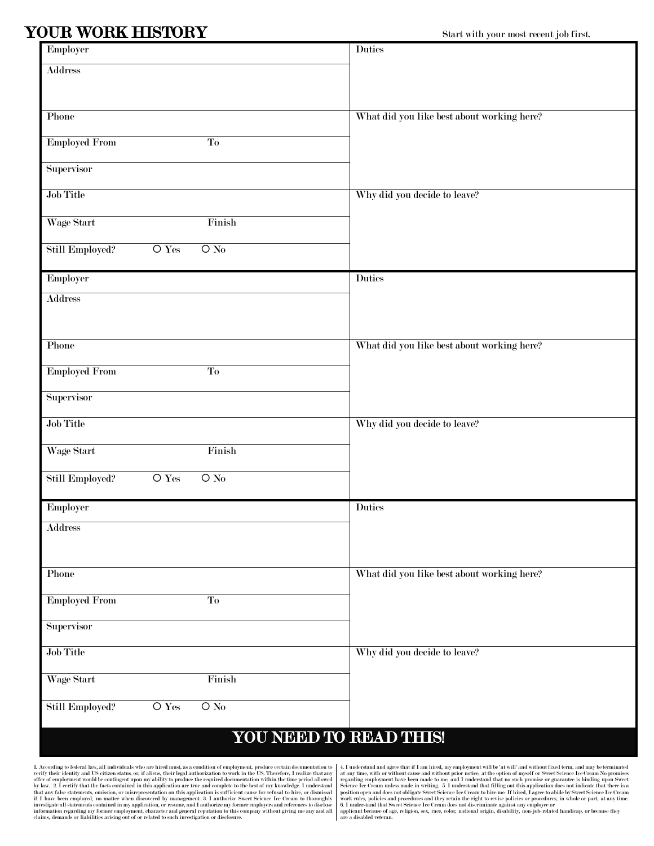## YOUR WORK HISTORY Start with your most recent job first.

| Employer                                                           | <b>Duties</b>                              |
|--------------------------------------------------------------------|--------------------------------------------|
| <b>Address</b>                                                     |                                            |
|                                                                    |                                            |
| Phone                                                              | What did you like best about working here? |
| <b>Employed From</b><br>To                                         |                                            |
|                                                                    |                                            |
| <b>Supervisor</b>                                                  |                                            |
| Job Title                                                          | Why did you decide to leave?               |
| Wage Start<br>Finish                                               |                                            |
| Still Employed?<br>$\overline{\text{O Yes}}$<br>$\overline{O N_0}$ |                                            |
| Employer                                                           | <b>Duties</b>                              |
| <b>Address</b>                                                     |                                            |
|                                                                    |                                            |
| Phone                                                              | What did you like best about working here? |
| <b>Employed From</b><br>To                                         |                                            |
| <b>Supervisor</b>                                                  |                                            |
| Job Title                                                          | Why did you decide to leave?               |
| Wage Start<br>Finish                                               |                                            |
| $\overline{\text{O Yes}}$<br>$O$ No<br>Still Employed?             |                                            |
|                                                                    |                                            |
| Employer                                                           | <b>Duties</b>                              |
| <b>Address</b>                                                     |                                            |
|                                                                    |                                            |
| Phone                                                              | What did you like best about working here? |
| <b>Employed From</b><br>To                                         |                                            |
| Supervisor                                                         |                                            |
| Job Title                                                          | Why did you decide to leave?               |
| Wage Start<br>Finish                                               |                                            |
| $\overline{O}$ No<br>Still Employed?<br>$O$ Yes                    |                                            |
|                                                                    |                                            |
|                                                                    | YOU NEED TO READ THIS!                     |

L According to federal law, all individuals who are hired must, as a condition of employment, produce eretain documentation to the US. Therefore, I realize that any verify their identity and US citizen status, or, if alie

4. I understand and agree that if I am hired, my employment will be 'at will' and without fixed term, and may be terminated at any time, with or without cause and without prior notice, at the option of myself or Sweet Science Ice Cream No promises regarding employment have been made to me, and I understand that no such promises of guarantee is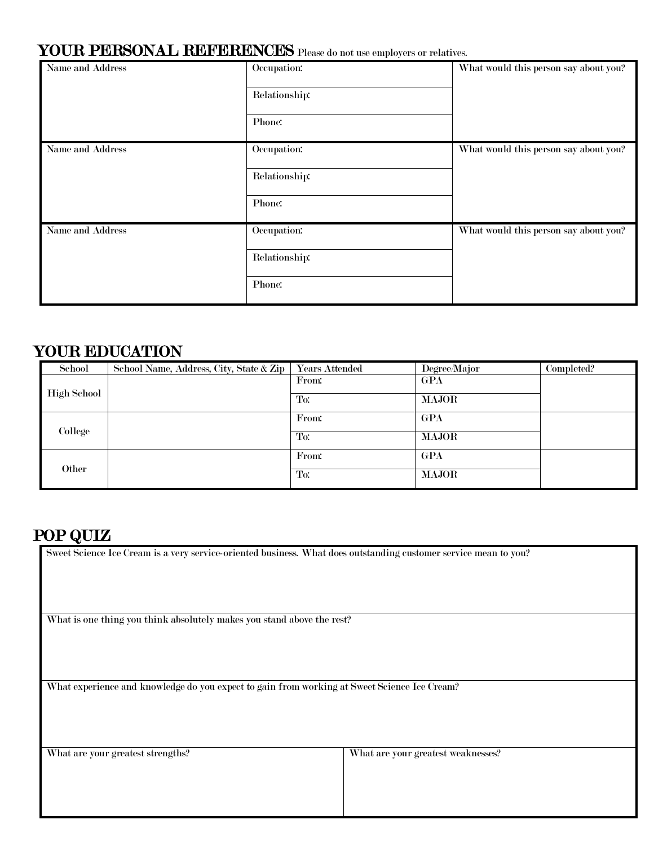## YOUR PERSONAL REFERENCES Please do not use employers or relatives.

|                  | $\sim$        |                                       |
|------------------|---------------|---------------------------------------|
| Name and Address | Occupation:   | What would this person say about you? |
|                  | Relationship: |                                       |
|                  | Phone:        |                                       |
| Name and Address | Occupation:   | What would this person say about you? |
|                  | Relationship: |                                       |
|                  | Phone:        |                                       |
| Name and Address | Occupation:   | What would this person say about you? |
|                  | Relationship: |                                       |
|                  | Phone:        |                                       |

## YOUR EDUCATION

| School             | School Name, Address, City, State & Zip | <b>Years Attended</b> | Degree/Major | Completed? |
|--------------------|-----------------------------------------|-----------------------|--------------|------------|
| <b>High School</b> |                                         | From:                 | GPA          |            |
|                    |                                         | To:                   | <b>MAJOR</b> |            |
| College            |                                         | From:                 | GPA          |            |
|                    |                                         | To:                   | <b>MAJOR</b> |            |
| Other              |                                         | From:                 | GPA          |            |
|                    |                                         | To:                   | <b>MAJOR</b> |            |

**POP QUIZ**<br>Sweet Science Ice Cream is a very service-oriented business. What does outstanding customer service mean to you?

What is one thing you think absolutely makes you stand above the rest?

What experience and knowledge do you expect to gain from working at Sweet Science Ice Cream?

What are your greatest strengths? What are your greatest weaknesses?